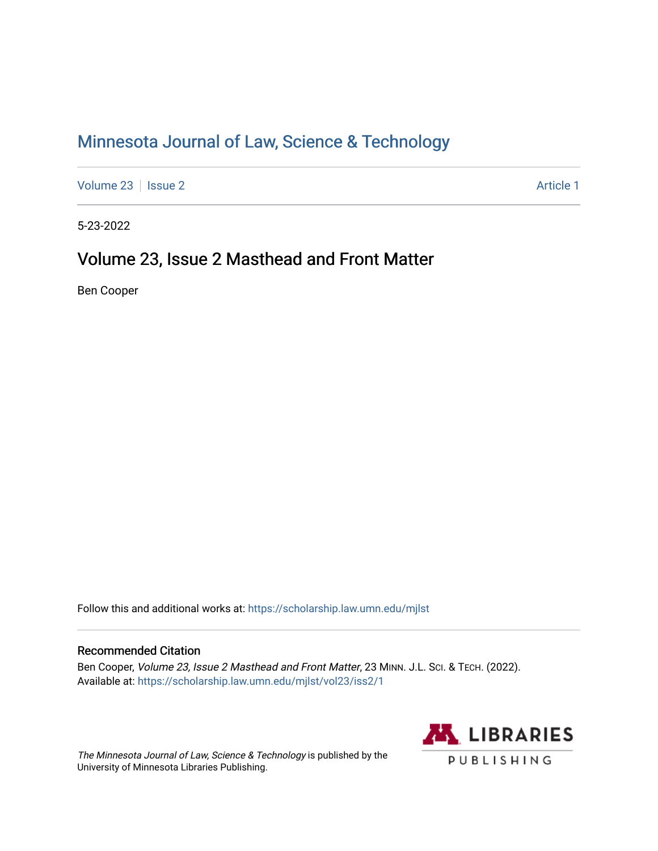## [Minnesota Journal of Law, Science & Technology](https://scholarship.law.umn.edu/mjlst?utm_source=scholarship.law.umn.edu%2Fmjlst%2Fvol23%2Fiss2%2F1&utm_medium=PDF&utm_campaign=PDFCoverPages)

[Volume 23](https://scholarship.law.umn.edu/mjlst/vol23?utm_source=scholarship.law.umn.edu%2Fmjlst%2Fvol23%2Fiss2%2F1&utm_medium=PDF&utm_campaign=PDFCoverPages) | [Issue 2](https://scholarship.law.umn.edu/mjlst/vol23/iss2?utm_source=scholarship.law.umn.edu%2Fmjlst%2Fvol23%2Fiss2%2F1&utm_medium=PDF&utm_campaign=PDFCoverPages) Article 1

5-23-2022

## Volume 23, Issue 2 Masthead and Front Matter

Ben Cooper

Follow this and additional works at: [https://scholarship.law.umn.edu/mjlst](https://scholarship.law.umn.edu/mjlst?utm_source=scholarship.law.umn.edu%2Fmjlst%2Fvol23%2Fiss2%2F1&utm_medium=PDF&utm_campaign=PDFCoverPages) 

### Recommended Citation

Ben Cooper, Volume 23, Issue 2 Masthead and Front Matter, 23 MINN. J.L. Sci. & TECH. (2022). Available at: [https://scholarship.law.umn.edu/mjlst/vol23/iss2/1](https://scholarship.law.umn.edu/mjlst/vol23/iss2/1?utm_source=scholarship.law.umn.edu%2Fmjlst%2Fvol23%2Fiss2%2F1&utm_medium=PDF&utm_campaign=PDFCoverPages) 

The Minnesota Journal of Law, Science & Technology is published by the University of Minnesota Libraries Publishing.

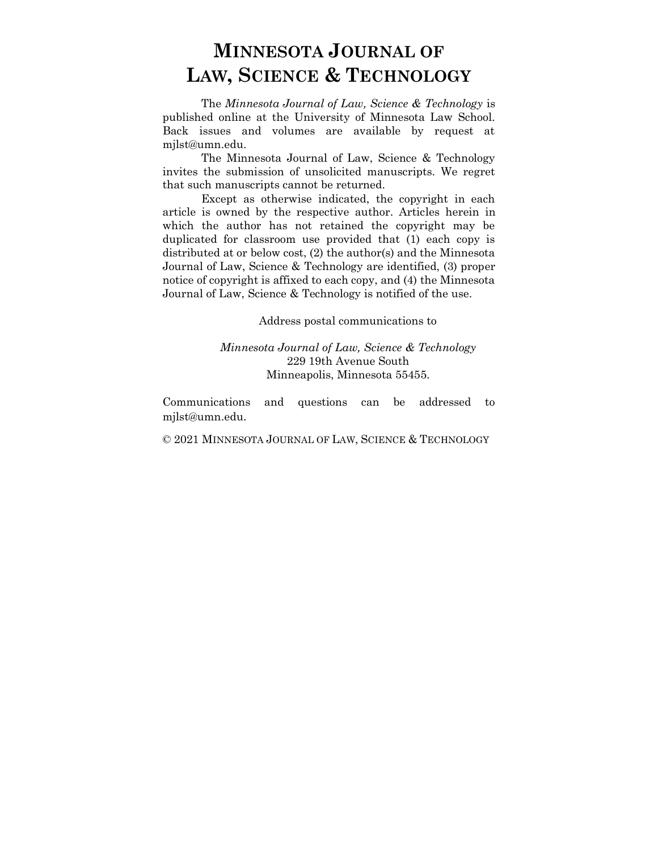The *Minnesota Journal of Law, Science & Technology* is published online at the University of Minnesota Law School. Back issues and volumes are available by request at mjlst@umn.edu.

The Minnesota Journal of Law, Science & Technology invites the submission of unsolicited manuscripts. We regret that such manuscripts cannot be returned.

Except as otherwise indicated, the copyright in each article is owned by the respective author. Articles herein in which the author has not retained the copyright may be duplicated for classroom use provided that (1) each copy is distributed at or below cost, (2) the author(s) and the Minnesota Journal of Law, Science & Technology are identified, (3) proper notice of copyright is affixed to each copy, and (4) the Minnesota Journal of Law, Science & Technology is notified of the use.

Address postal communications to

### *Minnesota Journal of Law, Science & Technology* 229 19th Avenue South Minneapolis, Minnesota 55455.

Communications and questions can be addressed to mjlst@umn.edu.

© 2021 MINNESOTA JOURNAL OF LAW, SCIENCE & TECHNOLOGY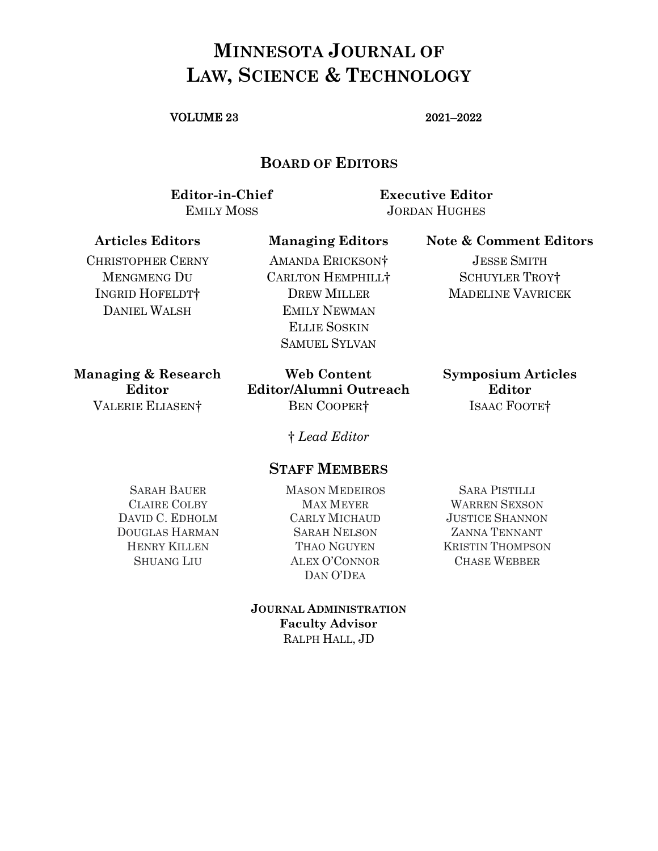### VOLUME 23 2021–2022

### **BOARD OF EDITORS**

**Editor-in-Chief Executive Editor** EMILY MOSS JORDAN HUGHES

### **Articles Editors Managing Editors Note & Comment Editors**

CHRISTOPHER CERNY MENGMENG DU INGRID HOFELDT† DANIEL WALSH

AMANDA ERICKSON† CARLTON HEMPHILL† DREW MILLER EMILY NEWMAN ELLIE SOSKIN SAMUEL SYLVAN

**Managing & Research Editor**

**Web Content Editor/Alumni Outreach** VALERIE ELIASEN† BEN COOPER† ISAAC FOOTE†

**Symposium Articles Editor**

JESSE SMITH SCHUYLER TROY† MADELINE VAVRICEK

† *Lead Editor*

### **STAFF MEMBERS**

SARAH BAUER CLAIRE COLBY DAVID C. EDHOLM DOUGLAS HARMAN HENRY KILLEN SHUANG LIU

MASON MEDEIROS MAX MEYER CARLY MICHAUD SARAH NELSON THAO NGUYEN ALEX O'CONNOR DAN O'DEA

**JOURNAL ADMINISTRATION Faculty Advisor** RALPH HALL, JD

SARA PISTILLI WARREN SEXSON JUSTICE SHANNON ZANNA TENNANT KRISTIN THOMPSON CHASE WEBBER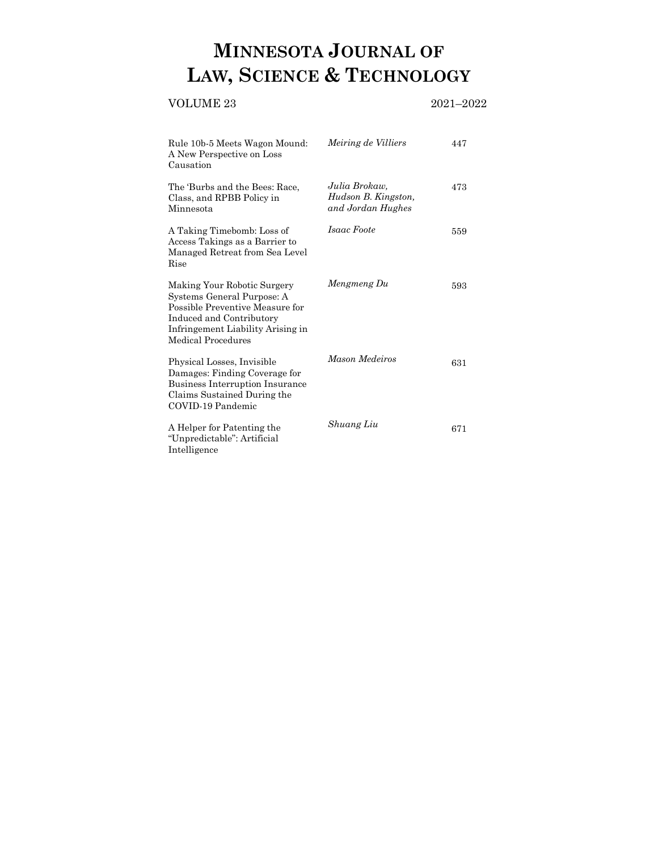### VOLUME 23 2021–2022

| Rule 10b-5 Meets Wagon Mound:<br>A New Perspective on Loss<br>Causation                                                                                                             | <i>Meiring de Villiers</i>                                | 447 |
|-------------------------------------------------------------------------------------------------------------------------------------------------------------------------------------|-----------------------------------------------------------|-----|
| The 'Burbs and the Bees: Race,<br>Class, and RPBB Policy in<br>Minnesota                                                                                                            | Julia Brokaw,<br>Hudson B. Kingston,<br>and Jordan Hughes | 473 |
| A Taking Timebomb: Loss of<br>Access Takings as a Barrier to<br>Managed Retreat from Sea Level<br>$_{\rm{Rise}}$                                                                    | Isaac Foote                                               | 559 |
| Making Your Robotic Surgery<br>Systems General Purpose: A<br>Possible Preventive Measure for<br>Induced and Contributory<br>Infringement Liability Arising in<br>Medical Procedures | Mengmeng Du                                               | 593 |
| Physical Losses, Invisible<br>Damages: Finding Coverage for<br>Business Interruption Insurance<br>Claims Sustained During the<br>COVID-19 Pandemic                                  | Mason Medeiros                                            | 631 |
| A Helper for Patenting the<br>"Unpredictable": Artificial<br>Intelligence                                                                                                           | Shuang Liu                                                | 671 |